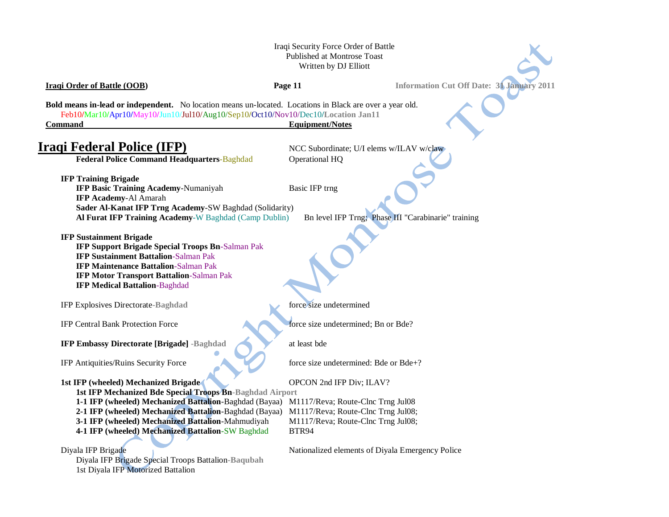## Iraqi Security Force Order of Battle Published at Montrose Toast Written by DJ Elliott

**Iraqi Order of Battle (OOB) Page 11 Information Cut Off Date: 31 January 2011** 

**Bold means in-lead or independent.** No location means un-located. Locations in Black are over a year old. Feb10**/**Mar10**/**Apr10**/**May10**/**Jun10/Jul10/Aug10/Sep10**/**Oct10/Nov10/Dec10**/Location Jan11 Command** Equipment/Notes

# **Iraqi Federal Police (IFP)** NCC Subordinate; U/I elems w/ILAV w/claw

**Federal Police Command Headquarters-Baghdad Operational HQ** 

**IFP Training Brigade** 

**IFP Basic Training Academy-Numaniyah Basic IFP trng IFP Academy**-Al Amarah **Sader Al-Kanat IFP Trng Academy**-SW Baghdad (Solidarity) **Al Furat IFP Training Academy**-W Baghdad (Camp Dublin) Bn level IFP Trng; Phase III "Carabinarie" training

**IFP Sustainment Brigade** 

**IFP Support Brigade Special Troops Bn**-Salman Pak **IFP Sustainment Battalion**-Salman Pak **IFP Maintenance Battalion**-Salman Pak **IFP Motor Transport Battalion**-Salman Pak **IFP Medical Battalion**-Baghdad

IFP Explosives Directorate**-Baghdad** force size undetermined

**IFP Embassy Directorate [Brigade] -Baghdad** at least bde

**1st IFP (wheeled) Mechanized Brigade** OPCON 2nd IFP Div; ILAV? **1st IFP Mechanized Bde Special Troops Bn-Baghdad Airport 1-1 IFP (wheeled) Mechanized Battalion**-Baghdad (Bayaa) M1117/Reva; Route-Clnc Trng Jul08 **2-1 IFP (wheeled) Mechanized Battalion**-Baghdad (Bayaa) M1117/Reva; Route-Clnc Trng Jul08; **3-1 IFP (wheeled) Mechanized Battalion-Mahmudiyah M1117/Reva; Route-Clnc Trng Jul08; 4-1 IFP (wheeled) Mechanized Battalion-SW Baghdad BTR94** 

Diyala IFP Brigade Special Troops Battalion**-Baqubah** 1st Diyala IFP Motorized Battalion

IFP Central Bank Protection Force force force size undetermined; Bn or Bde?

IFP Antiquities/Ruins Security Force force size undetermined: Bde or Bde+?

Diyala IFP Brigade Nationalized elements of Diyala Emergency Police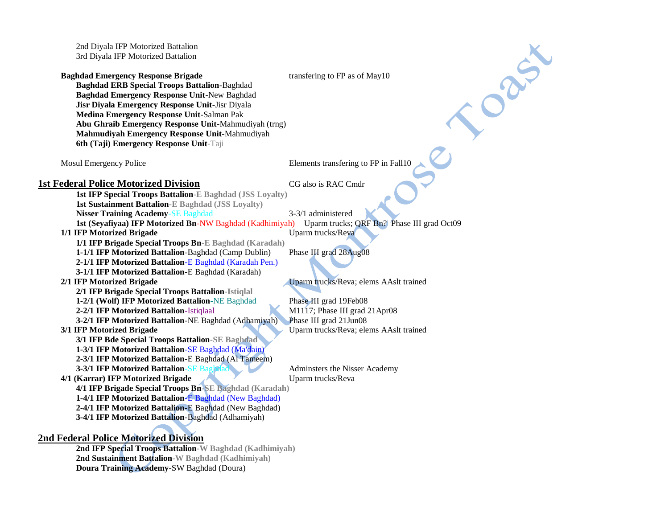2nd Diyala IFP Motorized Battalion 3rd Diyala IFP Motorized Battalion

**Baghdad Emergency Response Brigade** transfering to FP as of May10 **Baghdad ERB Special Troops Battalion**-Baghdad **Baghdad Emergency Response Unit**-New Baghdad **Jisr Diyala Emergency Response Unit**-Jisr Diyala **Medina Emergency Response Unit**-Salman Pak **Abu Ghraib Emergency Response Unit**-Mahmudiyah (trng) **Mahmudiyah Emergency Response Unit**-Mahmudiyah **6th (Taji) Emergency Response Unit**-Taji

Mosul Emergency Police **Elements** transfering to FP in Fall10

TOON S

# **1st Federal Police Motorized Division** CG also is RAC Cmdr

**1st IFP Special Troops Battalion-E Baghdad (JSS Loyalty) 1st Sustainment Battalion-E Baghdad (JSS Loyalty) Nisser Training Academy-SE Baghdad** 3-3/1 administered **1st (Seyafiyaa) IFP Motorized Bn**-NW Baghdad (Kadhimiyah) Uparm trucks; QRF Bn? Phase III grad Oct09 **1/1 IFP Motorized Brigade** Uparm trucks/Reva

**1/1 IFP Brigade Special Troops Bn-E Baghdad (Karadah)**

**2/1 IFP Brigade Special Troops Battalion-Istiqlal**

**3/1 IFP Bde Special Troops Battalion-SE Baghdad 1-3/1 IFP Motorized Battalion**-SE Baghdad (Ma'dain) **2-3/1 IFP Motorized Battalion**-E Baghdad (Al Tameem)

**1-1/1 IFP Motorized Battalion**-Baghdad (Camp Dublin) Phase III grad 28Aug08 **2-1/1 IFP Motorized Battalion**-E Baghdad (Karadah Pen.)

**3-1/1 IFP Motorized Battalion**-E Baghdad (Karadah)

**2/1 IFP Motorized Brigade** Uparm trucks/Reva; elems AAslt trained

**1-2/1 (Wolf) IFP Motorized Battalion-NE Baghdad** Phase III grad 19Feb08 **2-2/1 IFP Motorized Battalion**-Istiqlaal M1117; Phase III grad 21Apr08 **3-2/1 IFP Motorized Battalion**-NE Baghdad (Adhamiyah) Phase III grad 21Jun08 **3/1 IFP Motorized Brigade** Uparm trucks/Reva; elems AAslt trained

**3-3/1 IFP Motorized Battalion-SE Baghdad Administers the Nisser Academy** 

**4/1 (Karrar) IFP Motorized Brigade** Uparm trucks/Reva **4/1 IFP Brigade Special Troops Bn-SE Baghdad (Karadah) 1-4/1 IFP Motorized Battalion**-E Baghdad (New Baghdad) **2-4/1 IFP Motorized Battalion**-E Baghdad (New Baghdad) **3-4/1 IFP Motorized Battalion**-Baghdad (Adhamiyah)

# **2nd Federal Police Motorized Division**

**2nd IFP Special Troops Battalion-W Baghdad (Kadhimiyah) 2nd Sustainment Battalion-W Baghdad (Kadhimiyah) Doura Training Academy**-SW Baghdad (Doura)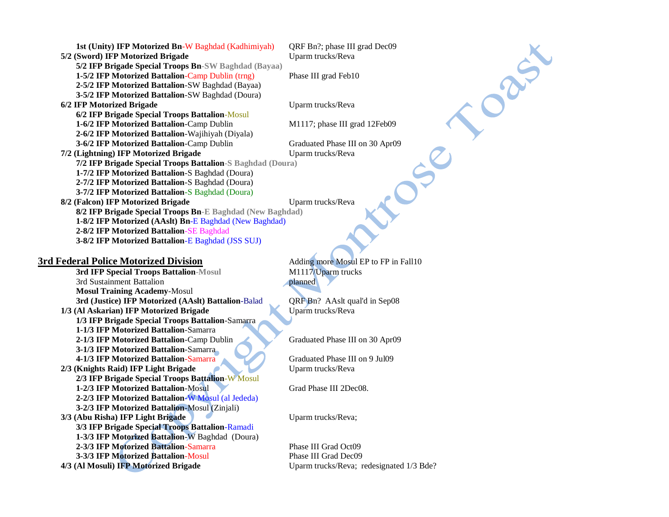| <b>1st (Unity) IFP Motorized Bn-W Baghdad (Kadhimiyah)</b> | QRF Bn?; phase III grad Dec09   |
|------------------------------------------------------------|---------------------------------|
| 5/2 (Sword) IFP Motorized Brigade                          | Uparm trucks/Reva               |
| 5/2 IFP Brigade Special Troops Bn-SW Baghdad (Bayaa)       |                                 |
| 1-5/2 IFP Motorized Battalion-Camp Dublin (trng)           | Phase III grad Feb10            |
| 2-5/2 IFP Motorized Battalion-SW Baghdad (Bayaa)           |                                 |
| 3-5/2 IFP Motorized Battalion-SW Baghdad (Doura)           |                                 |
| 6/2 IFP Motorized Brigade                                  | Uparm trucks/Reva               |
| 6/2 IFP Brigade Special Troops Battalion-Mosul             |                                 |
| 1-6/2 IFP Motorized Battalion-Camp Dublin                  | M1117; phase III grad 12Feb09   |
| 2-6/2 IFP Motorized Battalion-Wajihiyah (Diyala)           |                                 |
| 3-6/2 IFP Motorized Battalion-Camp Dublin                  | Graduated Phase III on 30 Apr09 |
| 7/2 (Lightning) IFP Motorized Brigade                      | Uparm trucks/Reva               |
| 7/2 IFP Brigade Special Troops Battalion-S Baghdad (Doura) |                                 |
| 1-7/2 IFP Motorized Battalion-S Baghdad (Doura)            |                                 |
| 2-7/2 IFP Motorized Battalion-S Baghdad (Doura)            |                                 |
| <b>3-7/2 IFP Motorized Battalion-S Baghdad (Doura)</b>     |                                 |
| 8/2 (Falcon) IFP Motorized Brigade                         | Uparm trucks/Reva               |
| 8/2 IFP Brigade Special Troops Bn-E Baghdad (New Baghdad)  |                                 |
| 1-8/2 IFP Motorized (AAslt) Bn-E Baghdad (New Baghdad)     |                                 |
| 2-8/2 IFP Motorized Battalion-SE Baghdad                   |                                 |
| 3-8/2 IFP Motorized Battalion-E Baghdad (JSS SUJ)          |                                 |

**3rd IFP Special Troops Battalion-Mosul** 3rd Sustainment Battalion planned **Mosul Training Academy**-Mosul **3rd (Justice) IFP Motorized (AAslt) Battalion**-Balad QRF Bn? AAslt qual'd in Sep08 1/3 (Al Askarian) IFP Motorized Brigade Uparm trucks/Reva **1/3 IFP Brigade Special Troops Battalion**-Samarra **1-1/3 IFP Motorized Battalion**-Samarra **2-1/3 IFP Motorized Battalion**-Camp Dublin Graduated Phase III on 30 Apr09 **3-1/3 IFP Motorized Battalion**-Samarra **4-1/3 IFP Motorized Battalion**-Samarra Graduated Phase III on 9 Jul09 **2/3 (Knights Raid) IFP Light Brigade** Uparm trucks/Reva **2/3 IFP Brigade Special Troops Battalion**-W Mosul **1-2/3 IFP Motorized Battalion**-Mosul Grad Phase III 2Dec08. **2-2/3 IFP Motorized Battalion**-W Mosul (al Jededa) **3-2/3 IFP Motorized Battalion**-Mosul (Zinjali) **3/3 (Abu Risha) IFP Light Brigade Uparm trucks/Reva; 3/3 IFP Brigade Special Troops Battalion**-Ramadi **1-3/3 IFP Motorized Battalion**-W Baghdad (Doura) **2-3/3 IFP Motorized Battalion**-Samarra Phase III Grad Oct09 **3-3/3 IFP Motorized Battalion**-Mosul Phase III Grad Dec09 **4/3 (Al Mosuli) IFP Motorized Brigade** Uparm trucks/Reva; redesignated 1/3 Bde?

**3rd Federal Police Motorized Division**<br>3rd **IFP Special Troops Battalion-Mosul** M1117/Uparm trucks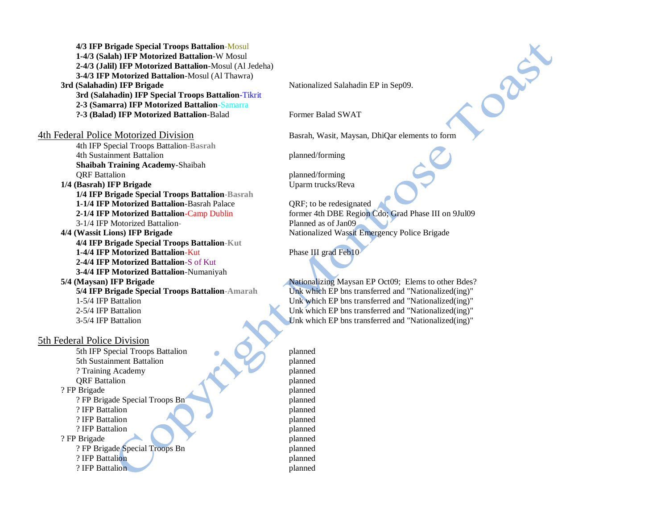**4/3 IFP Brigade Special Troops Battalion**-Mosul **1-4/3 (Salah) IFP Motorized Battalion**-W Mosul **2-4/3 (Jalil) IFP Motorized Battalion**-Mosul (Al Jedeha) **3-4/3 IFP Motorized Battalion**-Mosul (Al Thawra) **3rd (Salahadin) IFP Brigade** Nationalized Salahadin EP in Sep09. **3rd (Salahadin) IFP Special Troops Battalion**-Tikrit **2-3 (Samarra) IFP Motorized Battalion**-Samarra **?-3 (Balad) IFP Motorized Battalion**-Balad Former Balad SWAT

4th Federal Police Motorized Division Basrah, Wasit, Maysan, DhiQar elements to form

4th IFP Special Troops Battalion**-Basrah** 4th Sustainment Battalion planned/forming **Shaibah Training Academy**-Shaibah **ORF Battalion** planned/forming **1/4 (Basrah) IFP Brigade** Uparm trucks/Reva

**1/4 IFP Brigade Special Troops Battalion-Basrah 1-1/4 IFP Motorized Battalion**-Basrah Palace QRF; to be redesignated 3-1/4 IFP Motorized Battalion**-** Planned as of Jan09 **4/4 (Wassit Lions) IFP Brigade** Nationalized Wassit Emergency Police Brigade **4/4 IFP Brigade Special Troops Battalion-Kut 1-4/4 IFP Motorized Battalion-Kut** Phase III grad Feb<sup>10</sup> **2-4/4 IFP Motorized Battalion**-S of Kut **3-4/4 IFP Motorized Battalion**-Numaniyah **5/4 (Maysan) IFP Brigade** Nationalizing Maysan EP Oct09; Elems to other Bdes?

### 5th Federal Police Division

5th IFP Special Troops Battalion planned 5th Sustainment Battalion planned ? Training Academy planned **QRF** Battalion planned ? FP Brigade planned ? FP Brigade Special Troops Bn planned ? IFP Battalion planned ? IFP Battalion planned ? IFP Battalion planned ? FP Brigade planned ? FP Brigade Special Troops Bn planned ? IFP Battalion planned ? IFP Battalion planned

DRA

**2-1/4 IFP Motorized Battalion**-Camp Dublin former 4th DBE Region Cdo; Grad Phase III on 9Jul09

**5/4 IFP Brigade Special Troops Battalion-Amarah** Unk which EP bns transferred and "Nationalized(ing)" 1-5/4 IFP Battalion Unk which EP bns transferred and "Nationalized(ing)" 2-5/4 IFP Battalion Unk which EP bns transferred and "Nationalized(ing)" 3-5/4 IFP Battalion Unk which EP bns transferred and "Nationalized(ing)"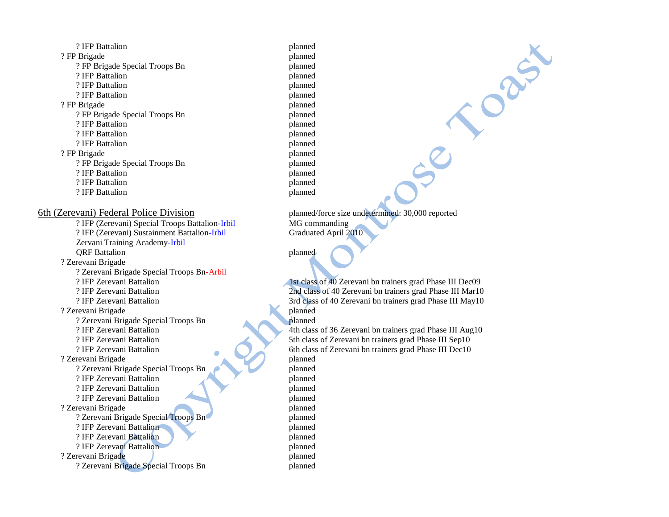? IFP Battalion planned ? FP Brigade planned ? FP Brigade Special Troops Bn planned ? IFP Battalion planned ? IFP Battalion planned ? IFP Battalion planned ? FP Brigade planned ? FP Brigade Special Troops Bn planned ? IFP Battalion planned ? IFP Battalion planned ? IFP Battalion planned ? FP Brigade planned ? FP Brigade Special Troops Bn planned ? IFP Battalion planned ? IFP Battalion planned ? IFP Battalion planned 6th (Zerevani) Federal Police Division planned/force size undetermined: 30,000 reported ? IFP (Zerevani) Special Troops Battalion-Irbil MG commanding ? IFP (Zerevani) Sustainment Battalion-Irbil Graduated April 2010 Zervani Training Academy-Irbil **ORF Battalion** planned ? Zerevani Brigade ? Zerevani Brigade Special Troops Bn-Arbil ? Zerevani Brigade planned ? Zerevani Brigade Special Troops Bn ? IFP Zerevani Battalion 4th class of 36 Zerevani bn trainers grad Phase III Aug10 ? IFP Zerevani Battalion 5th class of Zerevani bn trainers grad Phase III Sep10 ? IFP Zerevani Battalion 6th class of Zerevani bn trainers grad Phase III Dec10 ? Zerevani Brigade planned ? Zerevani Brigade Special Troops Bn planned ? IFP Zerevani Battalion planned ? IFP Zerevani Battalion planned ? IFP Zerevani Battalion planned ? Zerevani Brigade planned ? Zerevani Brigade Special Troops Bn planned ? IFP Zerevani Battalion planned ? IFP Zerevani Battalion planned ? IFP Zerevani Battalion planned ? Zerevani Brigade planned ? Zerevani Brigade Special Troops Bn planned

? IFP Zerevani Battalion 1st class of 40 Zerevani bn trainers grad Phase III Dec09 ? IFP Zerevani Battalion 2nd class of 40 Zerevani bn trainers grad Phase III Mar10 ? IFP Zerevani Battalion 3rd class of 40 Zerevani bn trainers grad Phase III May10

Casix